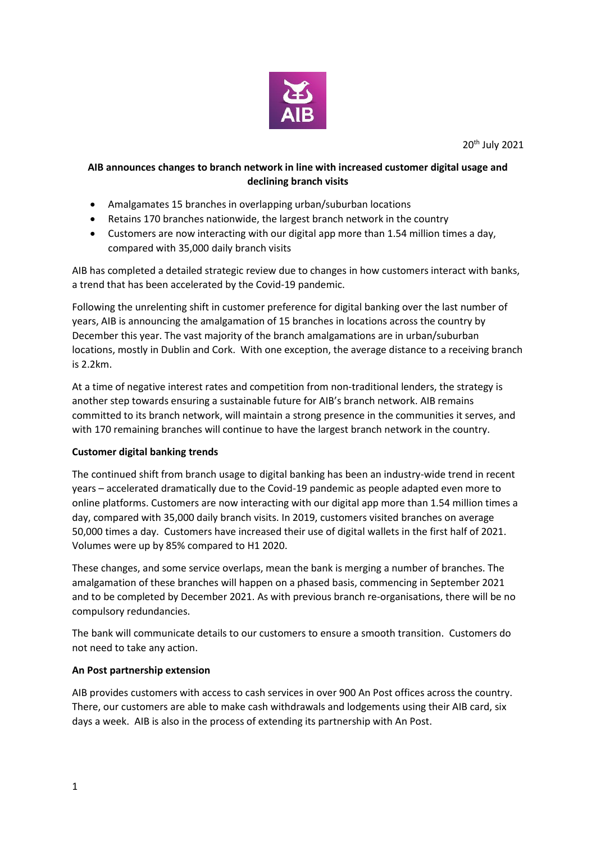

# **AIB announces changes to branch network in line with increased customer digital usage and declining branch visits**

- Amalgamates 15 branches in overlapping urban/suburban locations
- Retains 170 branches nationwide, the largest branch network in the country
- Customers are now interacting with our digital app more than 1.54 million times a day, compared with 35,000 daily branch visits

AIB has completed a detailed strategic review due to changes in how customers interact with banks, a trend that has been accelerated by the Covid-19 pandemic.

Following the unrelenting shift in customer preference for digital banking over the last number of years, AIB is announcing the amalgamation of 15 branches in locations across the country by December this year. The vast majority of the branch amalgamations are in urban/suburban locations, mostly in Dublin and Cork. With one exception, the average distance to a receiving branch is 2.2km.

At a time of negative interest rates and competition from non-traditional lenders, the strategy is another step towards ensuring a sustainable future for AIB's branch network. AIB remains committed to its branch network, will maintain a strong presence in the communities it serves, and with 170 remaining branches will continue to have the largest branch network in the country.

## **Customer digital banking trends**

The continued shift from branch usage to digital banking has been an industry-wide trend in recent years – accelerated dramatically due to the Covid-19 pandemic as people adapted even more to online platforms. Customers are now interacting with our digital app more than 1.54 million times a day, compared with 35,000 daily branch visits. In 2019, customers visited branches on average 50,000 times a day. Customers have increased their use of digital wallets in the first half of 2021. Volumes were up by 85% compared to H1 2020.

These changes, and some service overlaps, mean the bank is merging a number of branches. The amalgamation of these branches will happen on a phased basis, commencing in September 2021 and to be completed by December 2021. As with previous branch re-organisations, there will be no compulsory redundancies.

The bank will communicate details to our customers to ensure a smooth transition. Customers do not need to take any action.

## **An Post partnership extension**

AIB provides customers with access to cash services in over 900 An Post offices across the country. There, our customers are able to make cash withdrawals and lodgements using their AIB card, six days a week. AIB is also in the process of extending its partnership with An Post.